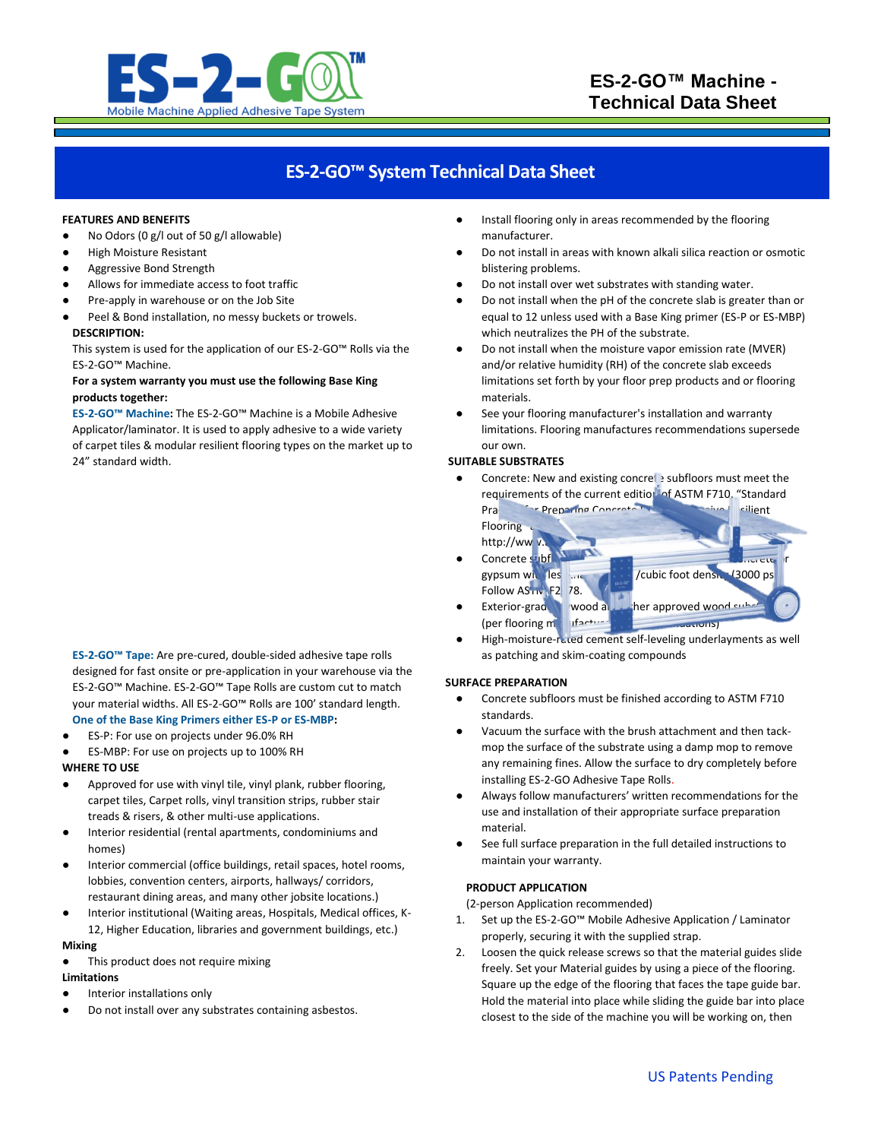

# **ES-2-GO™ System Technical Data Sheet**

#### **FEATURES AND BENEFITS**

- No Odors (0 g/l out of 50 g/l allowable)
- **High Moisture Resistant**
- Aggressive Bond Strength
- Allows for immediate access to foot traffic
- Pre-apply in warehouse or on the Job Site
- Peel & Bond installation, no messy buckets or trowels. **DESCRIPTION:**

This system is used for the application of our ES-2-GO™ Rolls via the ES-2-GO™ Machine.

### **For a system warranty you must use the following Base King products together:**

**ES-2-GO™ Machine:** The ES-2-GO™ Machine is a Mobile Adhesive Applicator/laminator. It is used to apply adhesive to a wide variety of carpet tiles & modular resilient flooring types on the market up to 24" standard width.

**ES-2-GO™ Tape:** Are pre-cured, double-sided adhesive tape rolls designed for fast onsite or pre-application in your warehouse via the ES-2-GO™ Machine. ES-2-GO™ Tape Rolls are custom cut to match your material widths. All ES-2-GO™ Rolls are 100' standard length. **One of the Base King Primers either ES-P or ES-MBP:**

- ES-P: For use on projects under 96.0% RH
- ES-MBP: For use on projects up to 100% RH

# **WHERE TO USE**

- Approved for use with vinyl tile, vinyl plank, rubber flooring, carpet tiles, Carpet rolls, vinyl transition strips, rubber stair treads & risers, & other multi-use applications.
- Interior residential (rental apartments, condominiums and homes)
- Interior commercial (office buildings, retail spaces, hotel rooms, lobbies, convention centers, airports, hallways/ corridors, restaurant dining areas, and many other jobsite locations.)
- Interior institutional (Waiting areas, Hospitals, Medical offices, K-12, Higher Education, libraries and government buildings, etc.)

#### **Mixing**

This product does not require mixing

# **Limitations**

- Interior installations only
- Do not install over any substrates containing asbestos.
- Install flooring only in areas recommended by the flooring manufacturer.
- Do not install in areas with known alkali silica reaction or osmotic blistering problems.
- Do not install over wet substrates with standing water.
- Do not install when the pH of the concrete slab is greater than or equal to 12 unless used with a Base King primer (ES-P or ES-MBP) which neutralizes the PH of the substrate.
- Do not install when the moisture vapor emission rate (MVER) and/or relative humidity (RH) of the concrete slab exceeds limitations set forth by your floor prep products and or flooring materials.
- See your flooring manufacturer's installation and warranty limitations. Flooring manufactures recommendations supersede our own.

#### **SUITABLE SUBSTRATES**

Concrete: New and existing concrete subfloors must meet the requirements of the current edition of ASTM F710, "Standard Practice for Preparing Concrete Floors to Receive Recibent

Flooring

- http://www
- Concrete subfl gypsum with les that is the 105 left of cubic foot density (3000 ps. Follow ASTM F2 78. Exterior-grade wood and other approved wood sub-
- (per flooring manufacturers) High-moisture-rated cement self-leveling underlayments as well as patching and skim-coating compounds

# **SURFACE PREPARATION**

- Concrete subfloors must be finished according to ASTM F710 standards.
- Vacuum the surface with the brush attachment and then tackmop the surface of the substrate using a damp mop to remove any remaining fines. Allow the surface to dry completely before installing ES-2-GO Adhesive Tape Rolls.
- Always follow manufacturers' written recommendations for the use and installation of their appropriate surface preparation material.
- See full surface preparation in the full detailed instructions to maintain your warranty.

#### **PRODUCT APPLICATION**

(2-person Application recommended)

- 1. Set up the ES-2-GO™ Mobile Adhesive Application / Laminator properly, securing it with the supplied strap.
- 2. Loosen the quick release screws so that the material guides slide freely. Set your Material guides by using a piece of the flooring. Square up the edge of the flooring that faces the tape guide bar. Hold the material into place while sliding the guide bar into place closest to the side of the machine you will be working on, then